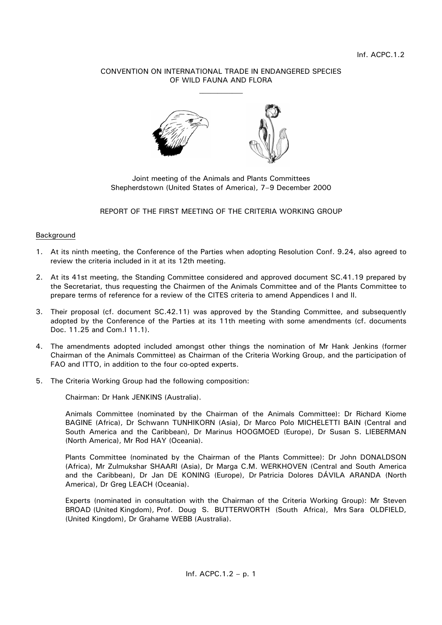# CONVENTION ON INTERNATIONAL TRADE IN ENDANGERED SPECIES OF WILD FAUNA AND FLORA



Joint meeting of the Animals and Plants Committees Shepherdstown (United States of America), 7–9 December 2000

## REPORT OF THE FIRST MEETING OF THE CRITERIA WORKING GROUP

### Background

- 1. At its ninth meeting, the Conference of the Parties when adopting Resolution Conf. 9.24, also agreed to review the criteria included in it at its 12th meeting.
- 2. At its 41st meeting, the Standing Committee considered and approved document SC.41.19 prepared by the Secretariat, thus requesting the Chairmen of the Animals Committee and of the Plants Committee to prepare terms of reference for a review of the CITES criteria to amend Appendices I and II.
- 3. Their proposal (cf. document SC.42.11) was approved by the Standing Committee, and subsequently adopted by the Conference of the Parties at its 11th meeting with some amendments (cf. documents Doc. 11.25 and Com.I 11.1).
- 4. The amendments adopted included amongst other things the nomination of Mr Hank Jenkins (former Chairman of the Animals Committee) as Chairman of the Criteria Working Group, and the participation of FAO and ITTO, in addition to the four co-opted experts.
- 5. The Criteria Working Group had the following composition:

Chairman: Dr Hank JENKINS (Australia).

Animals Committee (nominated by the Chairman of the Animals Committee): Dr Richard Kiome BAGINE (Africa), Dr Schwann TUNHIKORN (Asia), Dr Marco Polo MICHELETTI BAIN (Central and South America and the Caribbean), Dr Marinus HOOGMOED (Europe), Dr Susan S. LIEBERMAN (North America), Mr Rod HAY (Oceania).

Plants Committee (nominated by the Chairman of the Plants Committee): Dr John DONALDSON (Africa), Mr Zulmukshar SHAARI (Asia), Dr Marga C.M. WERKHOVEN (Central and South America and the Caribbean), Dr Jan DE KONING (Europe), Dr Patricia Dolores DÁVILA ARANDA (North America), Dr Greg LEACH (Oceania).

Experts (nominated in consultation with the Chairman of the Criteria Working Group): Mr Steven BROAD (United Kingdom), Prof. Doug S. BUTTERWORTH (South Africa), Mrs Sara OLDFIELD, (United Kingdom), Dr Grahame WEBB (Australia).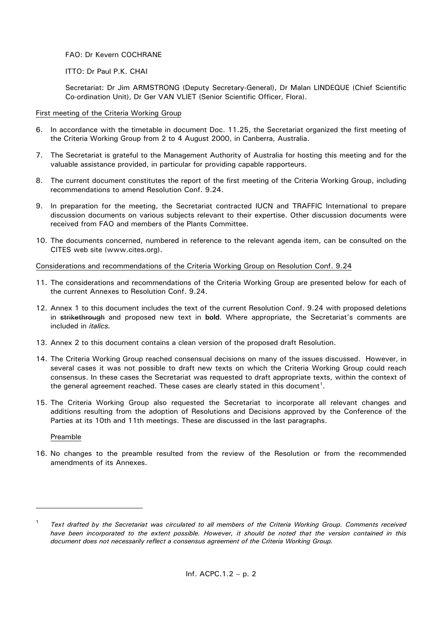FAO: Dr Kevern COCHRANE

ITTO: Dr Paul P.K. CHAI

Secretariat: Dr Jim ARMSTRONG (Deputy Secretary-General), Dr Malan LINDEQUE (Chief Scientific Co-ordination Unit), Dr Ger VAN VLIET (Senior Scientific Officer, Flora).

#### First meeting of the Criteria Working Group

- 6. In accordance with the timetable in document Doc. 11.25, the Secretariat organized the first meeting of the Criteria Working Group from 2 to 4 August 2000, in Canberra, Australia.
- 7. The Secretariat is grateful to the Management Authority of Australia for hosting this meeting and for the valuable assistance provided, in particular for providing capable rapporteurs.
- 8. The current document constitutes the report of the first meeting of the Criteria Working Group, including recommendations to amend Resolution Conf. 9.24.
- 9. In preparation for the meeting, the Secretariat contracted IUCN and TRAFFIC International to prepare discussion documents on various subjects relevant to their expertise. Other discussion documents were received from FAO and members of the Plants Committee.
- 10. The documents concerned, numbered in reference to the relevant agenda item, can be consulted on the CITES web site (www.cites.org).

### Considerations and recommendations of the Criteria Working Group on Resolution Conf. 9.24

- 11. The considerations and recommendations of the Criteria Working Group are presented below for each of the current Annexes to Resolution Conf. 9.24.
- 12. Annex 1 to this document includes the text of the current Resolution Conf. 9.24 with proposed deletions in strikethrough and proposed new text in **bold**. Where appropriate, the Secretariat's comments are included in *italics.*
- 13. Annex 2 to this document contains a clean version of the proposed draft Resolution.
- 14. The Criteria Working Group reached consensual decisions on many of the issues discussed. However, in several cases it was not possible to draft new texts on which the Criteria Working Group could reach consensus. In these cases the Secretariat was requested to draft appropriate texts, within the context of the general agreement reached. These cases are clearly stated in this document<sup>1</sup>.
- 15. The Criteria Working Group also requested the Secretariat to incorporate all relevant changes and additions resulting from the adoption of Resolutions and Decisions approved by the Conference of the Parties at its 10th and 11th meetings. These are discussed in the last paragraphs.

#### Preamble

 $\overline{a}$ 

16. No changes to the preamble resulted from the review of the Resolution or from the recommended amendments of its Annexes.

<sup>1</sup> *Text drafted by the Secretariat was circulated to all members of the Criteria Working Group. Comments received have been incorporated to the extent possible. However, it should be noted that the version contained in this document does not necessarily reflect a consensus agreement of the Criteria Working Group.*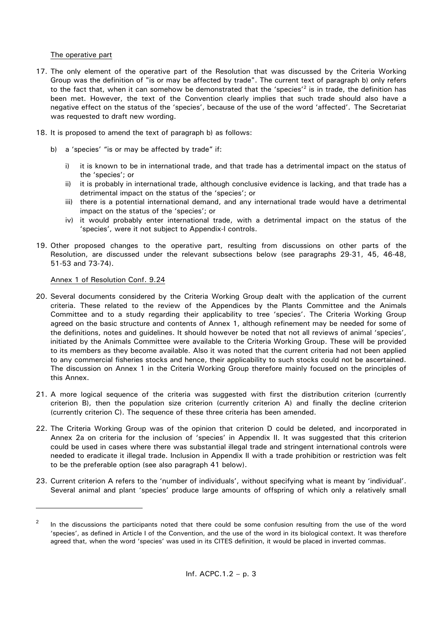### The operative part

- 17. The only element of the operative part of the Resolution that was discussed by the Criteria Working Group was the definition of "is or may be affected by trade". The current text of paragraph b) only refers to the fact that, when it can somehow be demonstrated that the 'species'<sup>2</sup> is in trade, the definition has been met. However, the text of the Convention clearly implies that such trade should also have a negative effect on the status of the 'species', because of the use of the word 'affected'. The Secretariat was requested to draft new wording.
- 18. It is proposed to amend the text of paragraph b) as follows:
	- b) a 'species' "is or may be affected by trade" if:
		- i) it is known to be in international trade, and that trade has a detrimental impact on the status of the 'species'; or
		- ii) it is probably in international trade, although conclusive evidence is lacking, and that trade has a detrimental impact on the status of the 'species'; or
		- iii) there is a potential international demand, and any international trade would have a detrimental impact on the status of the 'species'; or
		- iv) it would probably enter international trade, with a detrimental impact on the status of the 'species', were it not subject to Appendix-I controls.
- 19. Other proposed changes to the operative part, resulting from discussions on other parts of the Resolution, are discussed under the relevant subsections below (see paragraphs 29-31, 45, 46-48, 51-53 and 73-74).

#### Annex 1 of Resolution Conf. 9.24

 $\overline{a}$ 

- 20. Several documents considered by the Criteria Working Group dealt with the application of the current criteria. These related to the review of the Appendices by the Plants Committee and the Animals Committee and to a study regarding their applicability to tree 'species'. The Criteria Working Group agreed on the basic structure and contents of Annex 1, although refinement may be needed for some of the definitions, notes and guidelines. It should however be noted that not all reviews of animal 'species', initiated by the Animals Committee were available to the Criteria Working Group. These will be provided to its members as they become available. Also it was noted that the current criteria had not been applied to any commercial fisheries stocks and hence, their applicability to such stocks could not be ascertained. The discussion on Annex 1 in the Criteria Working Group therefore mainly focused on the principles of this Annex.
- 21. A more logical sequence of the criteria was suggested with first the distribution criterion (currently criterion B), then the population size criterion (currently criterion A) and finally the decline criterion (currently criterion C). The sequence of these three criteria has been amended.
- 22. The Criteria Working Group was of the opinion that criterion D could be deleted, and incorporated in Annex 2a on criteria for the inclusion of 'species' in Appendix II. It was suggested that this criterion could be used in cases where there was substantial illegal trade and stringent international controls were needed to eradicate it illegal trade. Inclusion in Appendix II with a trade prohibition or restriction was felt to be the preferable option (see also paragraph 41 below).
- 23. Current criterion A refers to the 'number of individuals', without specifying what is meant by 'individual'. Several animal and plant 'species' produce large amounts of offspring of which only a relatively small

<sup>2</sup> In the discussions the participants noted that there could be some confusion resulting from the use of the word 'species', as defined in Article I of the Convention, and the use of the word in its biological context. It was therefore agreed that, when the word 'species' was used in its CITES definition, it would be placed in inverted commas.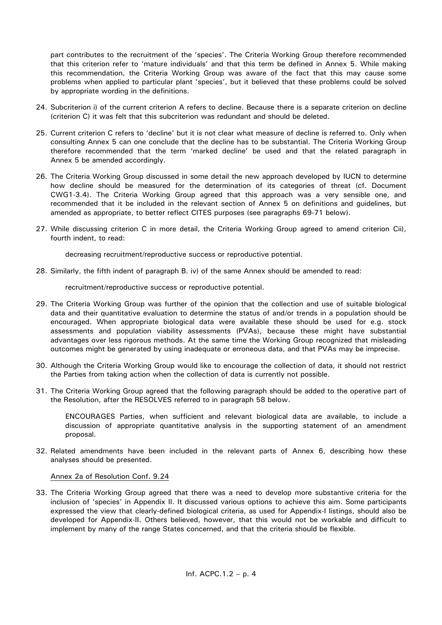part contributes to the recruitment of the 'species'. The Criteria Working Group therefore recommended that this criterion refer to 'mature individuals' and that this term be defined in Annex 5. While making this recommendation, the Criteria Working Group was aware of the fact that this may cause some problems when applied to particular plant 'species', but it believed that these problems could be solved by appropriate wording in the definitions.

- 24. Subcriterion i) of the current criterion A refers to decline. Because there is a separate criterion on decline (criterion C) it was felt that this subcriterion was redundant and should be deleted.
- 25. Current criterion C refers to 'decline' but it is not clear what measure of decline is referred to. Only when consulting Annex 5 can one conclude that the decline has to be substantial. The Criteria Working Group therefore recommended that the term 'marked decline' be used and that the related paragraph in Annex 5 be amended accordingly.
- 26. The Criteria Working Group discussed in some detail the new approach developed by IUCN to determine how decline should be measured for the determination of its categories of threat (cf. Document CWG1-3.4). The Criteria Working Group agreed that this approach was a very sensible one, and recommended that it be included in the relevant section of Annex 5 on definitions and guidelines, but amended as appropriate, to better reflect CITES purposes (see paragraphs 69-71 below).
- 27. While discussing criterion C in more detail, the Criteria Working Group agreed to amend criterion Cii), fourth indent, to read:

decreasing recruitment/reproductive success or reproductive potential.

28. Similarly, the fifth indent of paragraph B. iv) of the same Annex should be amended to read:

recruitment/reproductive success or reproductive potential.

- 29. The Criteria Working Group was further of the opinion that the collection and use of suitable biological data and their quantitative evaluation to determine the status of and/or trends in a population should be encouraged. When appropriate biological data were available these should be used for e.g. stock assessments and population viability assessments (PVAs), because these might have substantial advantages over less rigorous methods. At the same time the Working Group recognized that misleading outcomes might be generated by using inadequate or erroneous data, and that PVAs may be imprecise.
- 30. Although the Criteria Working Group would like to encourage the collection of data, it should not restrict the Parties from taking action when the collection of data is currently not possible.
- 31. The Criteria Working Group agreed that the following paragraph should be added to the operative part of the Resolution, after the RESOLVES referred to in paragraph 58 below.

ENCOURAGES Parties, when sufficient and relevant biological data are available, to include a discussion of appropriate quantitative analysis in the supporting statement of an amendment proposal.

32. Related amendments have been included in the relevant parts of Annex 6, describing how these analyses should be presented.

## Annex 2a of Resolution Conf. 9.24

33. The Criteria Working Group agreed that there was a need to develop more substantive criteria for the inclusion of 'species' in Appendix II. It discussed various options to achieve this aim. Some participants expressed the view that clearly-defined biological criteria, as used for Appendix-I listings, should also be developed for Appendix-II. Others believed, however, that this would not be workable and difficult to implement by many of the range States concerned, and that the criteria should be flexible.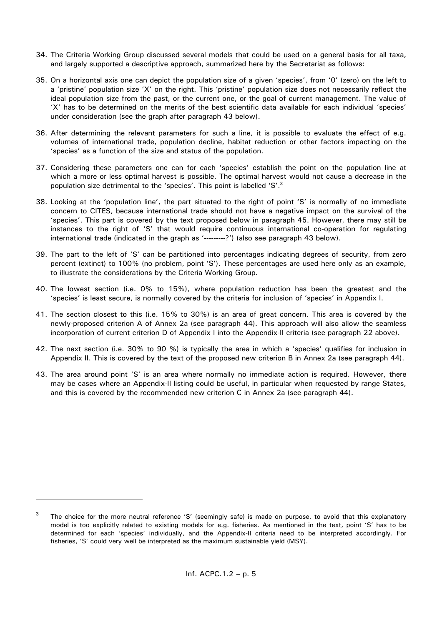- 34. The Criteria Working Group discussed several models that could be used on a general basis for all taxa, and largely supported a descriptive approach, summarized here by the Secretariat as follows:
- 35. On a horizontal axis one can depict the population size of a given 'species', from '0' (zero) on the left to a 'pristine' population size 'X' on the right. This 'pristine' population size does not necessarily reflect the ideal population size from the past, or the current one, or the goal of current management. The value of 'X' has to be determined on the merits of the best scientific data available for each individual 'species' under consideration (see the graph after paragraph 43 below).
- 36. After determining the relevant parameters for such a line, it is possible to evaluate the effect of e.g. volumes of international trade, population decline, habitat reduction or other factors impacting on the 'species' as a function of the size and status of the population.
- 37. Considering these parameters one can for each 'species' establish the point on the population line at which a more or less optimal harvest is possible. The optimal harvest would not cause a decrease in the population size detrimental to the 'species'. This point is labelled 'S'.<sup>3</sup>
- 38. Looking at the 'population line', the part situated to the right of point 'S' is normally of no immediate concern to CITES, because international trade should not have a negative impact on the survival of the 'species'. This part is covered by the text proposed below in paragraph 45. However, there may still be instances to the right of 'S' that would require continuous international co-operation for regulating international trade (indicated in the graph as '--------?') (also see paragraph 43 below).
- 39. The part to the left of 'S' can be partitioned into percentages indicating degrees of security, from zero percent (extinct) to 100% (no problem, point 'S'). These percentages are used here only as an example, to illustrate the considerations by the Criteria Working Group.
- 40. The lowest section (i.e. 0% to 15%), where population reduction has been the greatest and the 'species' is least secure, is normally covered by the criteria for inclusion of 'species' in Appendix I.
- 41. The section closest to this (i.e. 15% to 30%) is an area of great concern. This area is covered by the newly-proposed criterion A of Annex 2a (see paragraph 44). This approach will also allow the seamless incorporation of current criterion D of Appendix I into the Appendix-II criteria (see paragraph 22 above).
- 42. The next section (i.e. 30% to 90 %) is typically the area in which a 'species' qualifies for inclusion in Appendix II. This is covered by the text of the proposed new criterion B in Annex 2a (see paragraph 44).
- 43. The area around point 'S' is an area where normally no immediate action is required. However, there may be cases where an Appendix-II listing could be useful, in particular when requested by range States, and this is covered by the recommended new criterion C in Annex 2a (see paragraph 44).

 $\overline{a}$ 

<sup>3</sup> The choice for the more neutral reference 'S' (seemingly safe) is made on purpose, to avoid that this explanatory model is too explicitly related to existing models for e.g. fisheries. As mentioned in the text, point 'S' has to be determined for each 'species' individually, and the Appendix-II criteria need to be interpreted accordingly. For fisheries, 'S' could very well be interpreted as the maximum sustainable yield (MSY).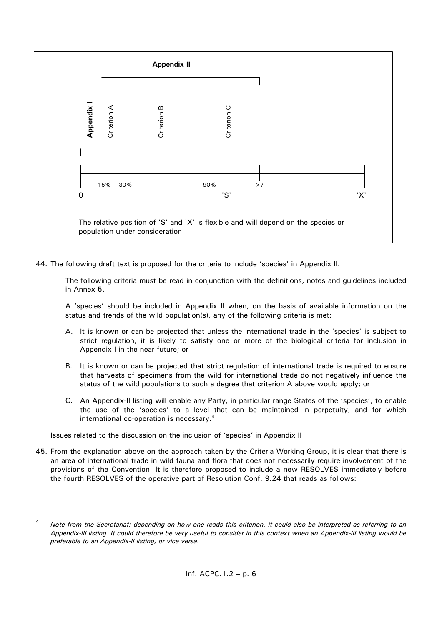

44. The following draft text is proposed for the criteria to include 'species' in Appendix II.

The following criteria must be read in conjunction with the definitions, notes and guidelines included in Annex 5.

A 'species' should be included in Appendix II when, on the basis of available information on the status and trends of the wild population(s), any of the following criteria is met:

- A. It is known or can be projected that unless the international trade in the 'species' is subject to strict regulation, it is likely to satisfy one or more of the biological criteria for inclusion in Appendix I in the near future; or
- B. It is known or can be projected that strict regulation of international trade is required to ensure that harvests of specimens from the wild for international trade do not negatively influence the status of the wild populations to such a degree that criterion A above would apply; or
- C. An Appendix-II listing will enable any Party, in particular range States of the 'species', to enable the use of the 'species' to a level that can be maintained in perpetuity, and for which international co-operation is necessary.<sup>4</sup>

## Issues related to the discussion on the inclusion of 'species' in Appendix II

 $\overline{a}$ 

45. From the explanation above on the approach taken by the Criteria Working Group, it is clear that there is an area of international trade in wild fauna and flora that does not necessarily require involvement of the provisions of the Convention. It is therefore proposed to include a new RESOLVES immediately before the fourth RESOLVES of the operative part of Resolution Conf. 9.24 that reads as follows:

<sup>4</sup> *Note from the Secretariat: depending on how one reads this criterion, it could also be interpreted as referring to an Appendix-III listing. It could therefore be very useful to consider in this context when an Appendix-III listing would be*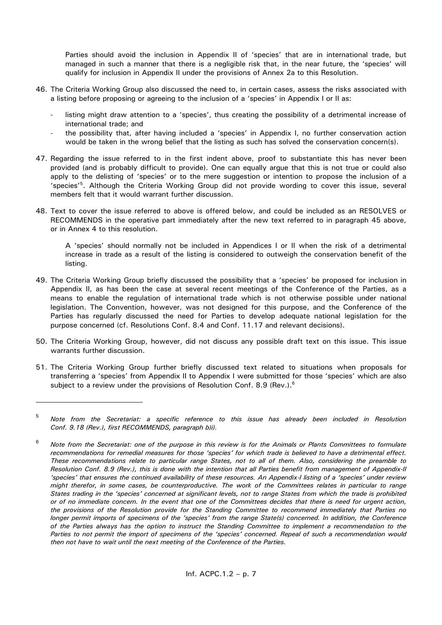Parties should avoid the inclusion in Appendix II of 'species' that are in international trade, but managed in such a manner that there is a negligible risk that, in the near future, the 'species' will qualify for inclusion in Appendix II under the provisions of Annex 2a to this Resolution.

- 46. The Criteria Working Group also discussed the need to, in certain cases, assess the risks associated with a listing before proposing or agreeing to the inclusion of a 'species' in Appendix I or II as:
	- listing might draw attention to a 'species', thus creating the possibility of a detrimental increase of international trade; and
	- the possibility that, after having included a 'species' in Appendix I, no further conservation action would be taken in the wrong belief that the listing as such has solved the conservation concern(s).
- 47. Regarding the issue referred to in the first indent above, proof to substantiate this has never been provided (and is probably difficult to provide). One can equally argue that this is not true or could also apply to the delisting of 'species' or to the mere suggestion or intention to propose the inclusion of a 'species'<sup>5</sup>. Although the Criteria Working Group did not provide wording to cover this issue, several members felt that it would warrant further discussion.
- 48. Text to cover the issue referred to above is offered below, and could be included as an RESOLVES or RECOMMENDS in the operative part immediately after the new text referred to in paragraph 45 above, or in Annex 4 to this resolution.

A 'species' should normally not be included in Appendices I or II when the risk of a detrimental increase in trade as a result of the listing is considered to outweigh the conservation benefit of the listing.

- 49. The Criteria Working Group briefly discussed the possibility that a 'species' be proposed for inclusion in Appendix II, as has been the case at several recent meetings of the Conference of the Parties, as a means to enable the regulation of international trade which is not otherwise possible under national legislation. The Convention, however, was not designed for this purpose, and the Conference of the Parties has regularly discussed the need for Parties to develop adequate national legislation for the purpose concerned (cf. Resolutions Conf. 8.4 and Conf. 11.17 and relevant decisions).
- 50. The Criteria Working Group, however, did not discuss any possible draft text on this issue. This issue warrants further discussion.
- 51. The Criteria Working Group further briefly discussed text related to situations when proposals for transferring a 'species' from Appendix II to Appendix I were submitted for those 'species' which are also subject to a review under the provisions of Resolution Conf. 8.9 (Rev.).<sup>6</sup>

<sup>5</sup> *Note from the Secretariat: a specific reference to this issue has already been included in Resolution Conf. 9.18 (Rev.), first RECOMMENDS, paragraph b)i).*

<sup>6</sup> *Note from the Secretariat: one of the purpose in this review is for the Animals or Plants Committees to formulate recommendations for remedial measures for those 'species' for which trade is believed to have a detrimental effect. These recommendations relate to particular range States, not to all of them. Also, considering the preamble to Resolution Conf. 8.9 (Rev.), this is done with the intention that all Parties benefit from management of Appendix-II 'species' that ensures the continued availability of these resources. An Appendix-I listing of a 'species' under review might therefor, in some cases, be counterproductive. The work of the Committees relates in particular to range States trading in the 'species' concerned at significant levels, not to range States from which the trade is prohibited or of no immediate concern. In the event that one of the Committees decides that there is need for urgent action, the provisions of the Resolution provide for the Standing Committee to recommend immediately that Parties no longer permit imports of specimens of the 'species' from the range State(s) concerned. In addition, the Conference of the Parties always has the option to instruct the Standing Committee to implement a recommendation to the Parties to not permit the import of specimens of the 'species' concerned. Repeal of such a recommendation would then not have to wait until the next meeting of the Conference of the Parties.*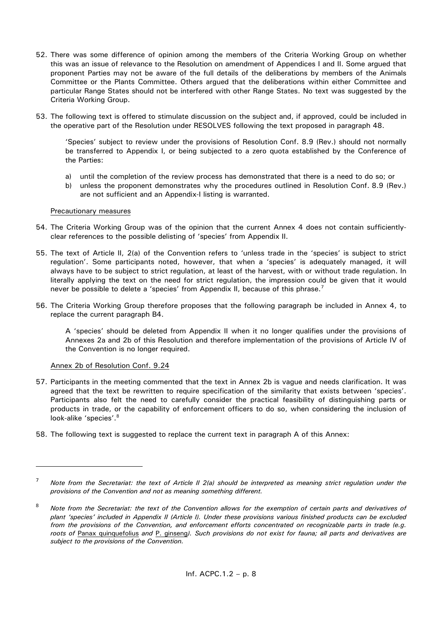- 52. There was some difference of opinion among the members of the Criteria Working Group on whether this was an issue of relevance to the Resolution on amendment of Appendices I and II. Some argued that proponent Parties may not be aware of the full details of the deliberations by members of the Animals Committee or the Plants Committee. Others argued that the deliberations within either Committee and particular Range States should not be interfered with other Range States. No text was suggested by the Criteria Working Group.
- 53. The following text is offered to stimulate discussion on the subject and, if approved, could be included in the operative part of the Resolution under RESOLVES following the text proposed in paragraph 48.

'Species' subject to review under the provisions of Resolution Conf. 8.9 (Rev.) should not normally be transferred to Appendix I, or being subjected to a zero quota established by the Conference of the Parties:

- a) until the completion of the review process has demonstrated that there is a need to do so; or
- b) unless the proponent demonstrates why the procedures outlined in Resolution Conf. 8.9 (Rev.) are not sufficient and an Appendix-I listing is warranted.

#### Precautionary measures

- 54. The Criteria Working Group was of the opinion that the current Annex 4 does not contain sufficientlyclear references to the possible delisting of 'species' from Appendix II.
- 55. The text of Article II, 2(a) of the Convention refers to 'unless trade in the 'species' is subject to strict regulation'. Some participants noted, however, that when a 'species' is adequately managed, it will always have to be subject to strict regulation, at least of the harvest, with or without trade regulation. In literally applying the text on the need for strict regulation, the impression could be given that it would never be possible to delete a 'species' from Appendix II, because of this phrase.<sup>7</sup>
- 56. The Criteria Working Group therefore proposes that the following paragraph be included in Annex 4, to replace the current paragraph B4.

A 'species' should be deleted from Appendix II when it no longer qualifies under the provisions of Annexes 2a and 2b of this Resolution and therefore implementation of the provisions of Article IV of the Convention is no longer required.

#### Annex 2b of Resolution Conf. 9.24

- 57. Participants in the meeting commented that the text in Annex 2b is vague and needs clarification. It was agreed that the text be rewritten to require specification of the similarity that exists between 'species'. Participants also felt the need to carefully consider the practical feasibility of distinguishing parts or products in trade, or the capability of enforcement officers to do so, when considering the inclusion of look-alike 'species'.<sup>8</sup>
- 58. The following text is suggested to replace the current text in paragraph A of this Annex:

<sup>7</sup> *Note from the Secretariat: the text of Article II 2(a) should be interpreted as meaning strict regulation under the provisions of the Convention and not as meaning something different.*

<sup>8</sup> *Note from the Secretariat: the text of the Convention allows for the exemption of certain parts and derivatives of plant 'species' included in Appendix II (Article I). Under these provisions various finished products can be excluded from the provisions of the Convention, and enforcement efforts concentrated on recognizable parts in trade (e.g. roots of* Panax quinquefolius *and* P. ginseng*). Such provisions do not exist for fauna; all parts and derivatives are subject to the provisions of the Convention.*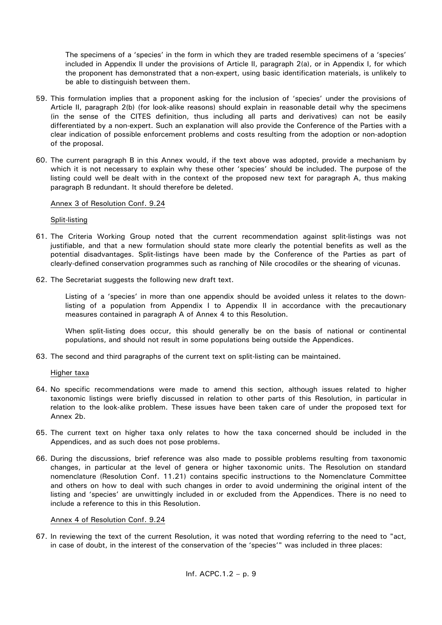The specimens of a 'species' in the form in which they are traded resemble specimens of a 'species' included in Appendix II under the provisions of Article II, paragraph 2(a), or in Appendix I, for which the proponent has demonstrated that a non-expert, using basic identification materials, is unlikely to be able to distinguish between them.

- 59. This formulation implies that a proponent asking for the inclusion of 'species' under the provisions of Article II, paragraph 2(b) (for look-alike reasons) should explain in reasonable detail why the specimens (in the sense of the CITES definition, thus including all parts and derivatives) can not be easily differentiated by a non-expert. Such an explanation will also provide the Conference of the Parties with a clear indication of possible enforcement problems and costs resulting from the adoption or non-adoption of the proposal.
- 60. The current paragraph B in this Annex would, if the text above was adopted, provide a mechanism by which it is not necessary to explain why these other 'species' should be included. The purpose of the listing could well be dealt with in the context of the proposed new text for paragraph A, thus making paragraph B redundant. It should therefore be deleted.

#### Annex 3 of Resolution Conf. 9.24

#### Split-listing

- 61. The Criteria Working Group noted that the current recommendation against split-listings was not justifiable, and that a new formulation should state more clearly the potential benefits as well as the potential disadvantages. Split-listings have been made by the Conference of the Parties as part of clearly-defined conservation programmes such as ranching of Nile crocodiles or the shearing of vicunas.
- 62. The Secretariat suggests the following new draft text.

Listing of a 'species' in more than one appendix should be avoided unless it relates to the downlisting of a population from Appendix I to Appendix II in accordance with the precautionary measures contained in paragraph A of Annex 4 to this Resolution.

When split-listing does occur, this should generally be on the basis of national or continental populations, and should not result in some populations being outside the Appendices.

63. The second and third paragraphs of the current text on split-listing can be maintained.

#### Higher taxa

- 64. No specific recommendations were made to amend this section, although issues related to higher taxonomic listings were briefly discussed in relation to other parts of this Resolution, in particular in relation to the look-alike problem. These issues have been taken care of under the proposed text for Annex 2b.
- 65. The current text on higher taxa only relates to how the taxa concerned should be included in the Appendices, and as such does not pose problems.
- 66. During the discussions, brief reference was also made to possible problems resulting from taxonomic changes, in particular at the level of genera or higher taxonomic units. The Resolution on standard nomenclature (Resolution Conf. 11.21) contains specific instructions to the Nomenclature Committee and others on how to deal with such changes in order to avoid undermining the original intent of the listing and 'species' are unwittingly included in or excluded from the Appendices. There is no need to include a reference to this in this Resolution.

#### Annex 4 of Resolution Conf. 9.24

67. In reviewing the text of the current Resolution, it was noted that wording referring to the need to "act, in case of doubt, in the interest of the conservation of the 'species'" was included in three places: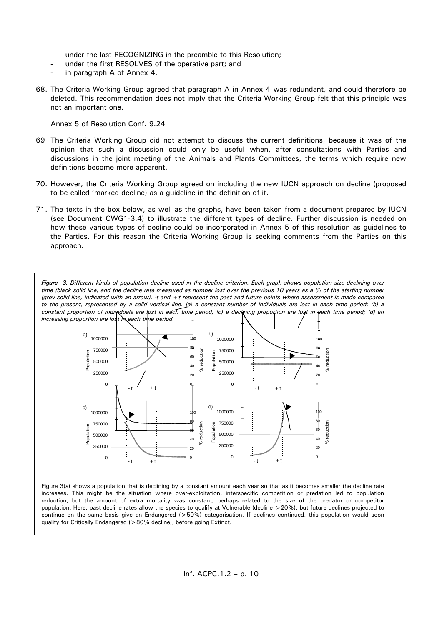- under the last RECOGNIZING in the preamble to this Resolution;
- under the first RESOLVES of the operative part; and
- in paragraph A of Annex 4.
- 68. The Criteria Working Group agreed that paragraph A in Annex 4 was redundant, and could therefore be deleted. This recommendation does not imply that the Criteria Working Group felt that this principle was not an important one.

#### Annex 5 of Resolution Conf. 9.24

- 69 The Criteria Working Group did not attempt to discuss the current definitions, because it was of the opinion that such a discussion could only be useful when, after consultations with Parties and discussions in the joint meeting of the Animals and Plants Committees, the terms which require new definitions become more apparent.
- 70. However, the Criteria Working Group agreed on including the new IUCN approach on decline (proposed to be called 'marked decline) as a guideline in the definition of it.
- 71. The texts in the box below, as well as the graphs, have been taken from a document prepared by IUCN (see Document CWG1-3.4) to illustrate the different types of decline. Further discussion is needed on how these various types of decline could be incorporated in Annex 5 of this resolution as guidelines to the Parties. For this reason the Criteria Working Group is seeking comments from the Parties on this approach.

*Figure 3. Different kinds of population decline used in the decline criterion. Each graph shows population size declining over time (black solid line) and the decline rate measured as number lost over the previous 10 years as a % of the starting number (grey solid line, indicated with an arrow). -t and +t represent the past and future points where assessment is made compared to the present, represented by a solid vertical line. (a) a constant number of individuals are lost in each time period; (b) a constant proportion of individuals are lost in each time period; (c) a declining proportion are lost in each time period; (d) an increasing proportion are lost in each time period.*



Figure 3(a) shows a population that is declining by a constant amount each year so that as it becomes smaller the decline rate increases. This might be the situation where over-exploitation, interspecific competition or predation led to population reduction, but the amount of extra mortality was constant, perhaps related to the size of the predator or competitor population. Here, past decline rates allow the species to qualify at Vulnerable (decline >20%), but future declines projected to continue on the same basis give an Endangered (>50%) categorisation. If declines continued, this population would soon qualify for Critically Endangered (>80% decline), before going Extinct.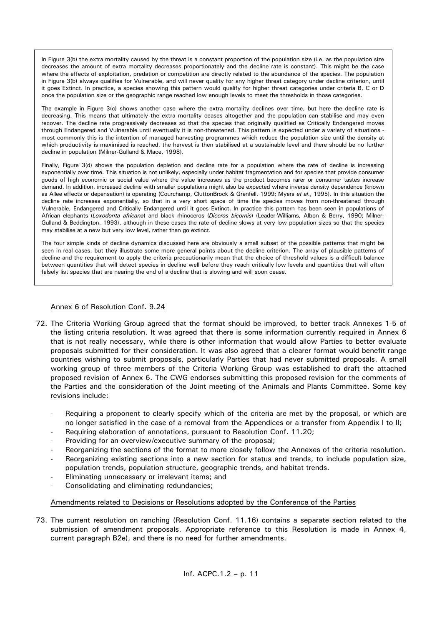In Figure 3(b) the extra mortality caused by the threat is a constant proportion of the population size (i.e. as the population size decreases the amount of extra mortality decreases proportionately and the decline rate is constant). This might be the case where the effects of exploitation, predation or competition are directly related to the abundance of the species. The population in Figure 3(b) always qualifies for Vulnerable, and will never quality for any higher threat category under decline criterion, until it goes Extinct. In practice, a species showing this pattern would qualify for higher threat categories under criteria B, C or D once the population size or the geographic range reached low enough levels to meet the thresholds in those categories.

The example in Figure 3(c) shows another case where the extra mortality declines over time, but here the decline rate is decreasing. This means that ultimately the extra mortality ceases altogether and the population can stabilise and may even recover. The decline rate progressively decreases so that the species that originally qualified as Critically Endangered moves through Endangered and Vulnerable until eventually it is non-threatened. This pattern is expected under a variety of situations most commonly this is the intention of managed harvesting programmes which reduce the population size until the density at which productivity is maximised is reached, the harvest is then stabilised at a sustainable level and there should be no further decline in population (Milner-Gulland & Mace, 1998).

Finally, Figure 3(d) shows the population depletion and decline rate for a population where the rate of decline is increasing exponentially over time. This situation is not unlikely, especially under habitat fragmentation and for species that provide consumer goods of high economic or social value where the value increases as the product becomes rarer or consumer tastes increase demand. In addition, increased decline with smaller populations might also be expected where inverse density dependence (known as Allee effects or depensation) is operating (Courchamp, CluttonBrock & Grenfell, 1999; Myers *et al*., 1995). In this situation the decline rate increases exponentially, so that in a very short space of time the species moves from non-threatened through Vulnerable, Endangered and Critically Endangered until it goes Extinct. In practice this pattern has been seen in populations of African elephants (*Loxodonta africana*) and black rhinoceros (*Diceros bicornis*) (Leader-Williams, Albon & Berry, 1990; Milner-Gulland & Beddington, 1993), although in these cases the rate of decline slows at very low population sizes so that the species may stabilise at a new but very low level, rather than go extinct.

The four simple kinds of decline dynamics discussed here are obviously a small subset of the possible patterns that might be seen in real cases, but they illustrate some more general points about the decline criterion. The array of plausible patterns of decline and the requirement to apply the criteria precautionarily mean that the choice of threshold values is a difficult balance between quantities that will detect species in decline well before they reach critically low levels and quantities that will often falsely list species that are nearing the end of a decline that is slowing and will soon cease.

#### Annex 6 of Resolution Conf. 9.24

- 72. The Criteria Working Group agreed that the format should be improved, to better track Annexes 1-5 of the listing criteria resolution. It was agreed that there is some information currently required in Annex 6 that is not really necessary, while there is other information that would allow Parties to better evaluate proposals submitted for their consideration. It was also agreed that a clearer format would benefit range countries wishing to submit proposals, particularly Parties that had never submitted proposals. A small working group of three members of the Criteria Working Group was established to draft the attached proposed revision of Annex 6. The CWG endorses submitting this proposed revision for the comments of the Parties and the consideration of the Joint meeting of the Animals and Plants Committee. Some key revisions include:
	- Requiring a proponent to clearly specify which of the criteria are met by the proposal, or which are no longer satisfied in the case of a removal from the Appendices or a transfer from Appendix I to II;
	- Requiring elaboration of annotations, pursuant to Resolution Conf. 11.20;
	- Providing for an overview/executive summary of the proposal;
	- Reorganizing the sections of the format to more closely follow the Annexes of the criteria resolution.
	- Reorganizing existing sections into a new section for status and trends, to include population size, population trends, population structure, geographic trends, and habitat trends.
	- Eliminating unnecessary or irrelevant items; and
	- Consolidating and eliminating redundancies;

#### Amendments related to Decisions or Resolutions adopted by the Conference of the Parties

73. The current resolution on ranching (Resolution Conf. 11.16) contains a separate section related to the submission of amendment proposals. Appropriate reference to this Resolution is made in Annex 4, current paragraph B2e), and there is no need for further amendments.